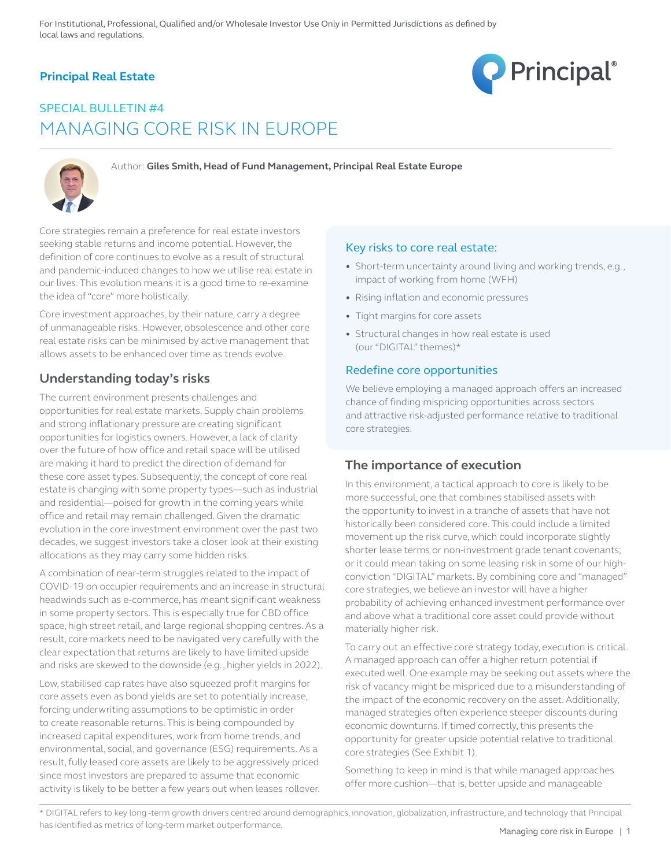## **Principal Real Estate**



# SPECIAL BULLETIN #4 MANAGING CORE RISK IN EUROPE



Author: **Giles Smith, Head of Fund Management, Principal Real Estate Europe** 

Core strategies remain a preference for real estate investors seeking stable returns and income potential. However, the definition of core continues to evolve as a result of structural and pandemic-induced changes to how we utilise real estate in our lives. This evolution means it is a good time to re-examine the idea of "core" more holistically.

Core investment approaches, by their nature, carry a degree of unmanageable risks. However, obsolescence and other core real estate risks can be minimised by active management that allows assets to be enhanced over time as trends evolve.

# **Understanding today's risks**

The current environment presents challenges and opportunities for real estate markets. Supply chain problems and strong inflationary pressure are creating significant opportunities for logistics owners. However, a lack of clarity over the future of how office and retail space will be utilised are making it hard to predict the direction of demand for these core asset types. Subsequently, the concept of core real estate is changing with some property types—such as industrial and residential—poised for growth in the coming years while office and retail may remain challenged. Given the dramatic evolution in the core investment environment over the past two decades, we suggest investors take a closer look at their existing allocations as they may carry some hidden risks.

A combination of near-term struggles related to the impact of COVID-19 on occupier requirements and an increase in structural headwinds such as e-commerce, has meant significant weakness in some property sectors. This is especially true for CBD office space, high street retail, and large regional shopping centres. As a result, core markets need to be navigated very carefully with the clear expectation that returns are likely to have limited upside and risks are skewed to the downside (e.g., higher yields in 2022).

Low, stabilised cap rates have also squeezed profit margins for core assets even as bond yields are set to potentially increase, forcing underwriting assumptions to be optimistic in order to create reasonable returns. This is being compounded by increased capital expenditures, work from home trends, and environmental, social, and governance (ESG) requirements. As a result, fully leased core assets are likely to be aggressively priced since most investors are prepared to assume that economic activity is likely to be better a few years out when leases rollover.

### Key risks to core real estate:

- Short-term uncertainty around living and working trends, e.g., impact of working from home (WFH)
- Rising inflation and economic pressures
- Tight margins for core assets
- Structural changes in how real estate is used (our "DIGITAL" themes)\*

### Redefine core opportunities

We believe employing a managed approach offers an increased chance of finding mispricing opportunities across sectors and attractive risk-adjusted performance relative to traditional core strategies.

### **The importance of execution**

In this environment, a tactical approach to core is likely to be more successful, one that combines stabilised assets with the opportunity to invest in a tranche of assets that have not historically been considered core. This could include a limited movement up the risk curve, which could incorporate slightly shorter lease terms or non-investment grade tenant covenants; or it could mean taking on some leasing risk in some of our highconviction "DIGITAL" markets. By combining core and "managed" core strategies, we believe an investor will have a higher probability of achieving enhanced investment performance over and above what a traditional core asset could provide without materially higher risk.

To carry out an effective core strategy today, execution is critical. A managed approach can offer a higher return potential if executed well. One example may be seeking out assets where the risk of vacancy might be mispriced due to a misunderstanding of the impact of the economic recovery on the asset. Additionally, managed strategies often experience steeper discounts during economic downturns. If timed correctly, this presents the opportunity for greater upside potential relative to traditional core strategies (See Exhibit 1).

Something to keep in mind is that while managed approaches offer more cushion—that is, better upside and manageable

\* DIGITAL refers to key long -term growth drivers centred around demographics, innovation, globalization, infrastructure, and technology that Principal has identified as metrics of long-term market outperformance.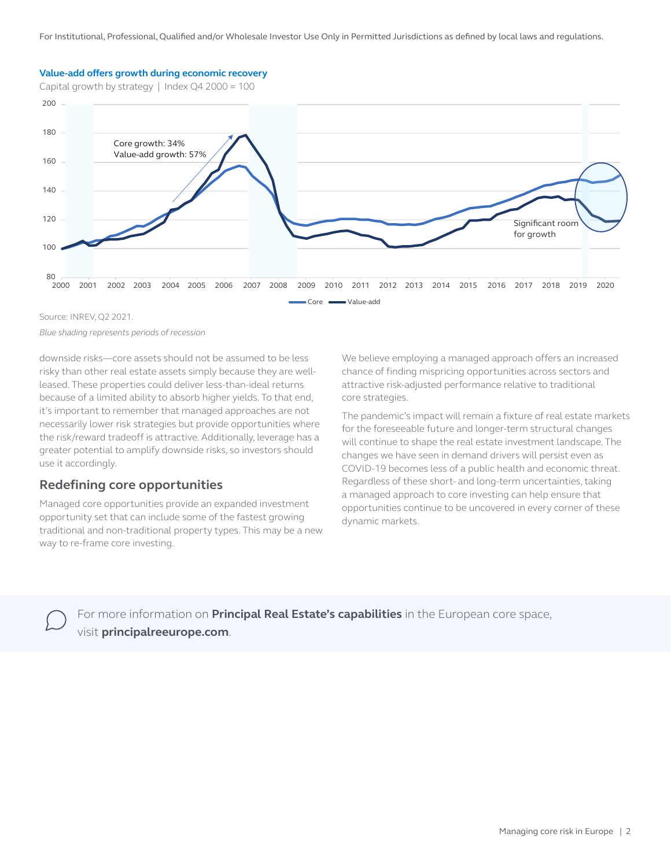#### **Value-add offers growth during economic recovery**

Capital growth by strategy | Index  $Q42000 = 100$ 



Source: INREV, Q2 2021.

*Blue shading represents periods of recession*

downside risks—core assets should not be assumed to be less risky than other real estate assets simply because they are wellleased. These properties could deliver less-than-ideal returns because of a limited ability to absorb higher yields. To that end, it's important to remember that managed approaches are not necessarily lower risk strategies but provide opportunities where the risk/reward tradeoff is attractive. Additionally, leverage has a greater potential to amplify downside risks, so investors should use it accordingly.

### **Redefining core opportunities**

Managed core opportunities provide an expanded investment opportunity set that can include some of the fastest growing traditional and non-traditional property types. This may be a new way to re-frame core investing.

We believe employing a managed approach offers an increased chance of finding mispricing opportunities across sectors and attractive risk-adjusted performance relative to traditional core strategies.

The pandemic's impact will remain a fixture of real estate markets for the foreseeable future and longer-term structural changes will continue to shape the real estate investment landscape. The changes we have seen in demand drivers will persist even as COVID-19 becomes less of a public health and economic threat. Regardless of these short- and long-term uncertainties, taking a managed approach to core investing can help ensure that opportunities continue to be uncovered in every corner of these dynamic markets.



For more information on **Principal Real Estate's capabilities** in the European core space, visit **principalreeurope.com**.